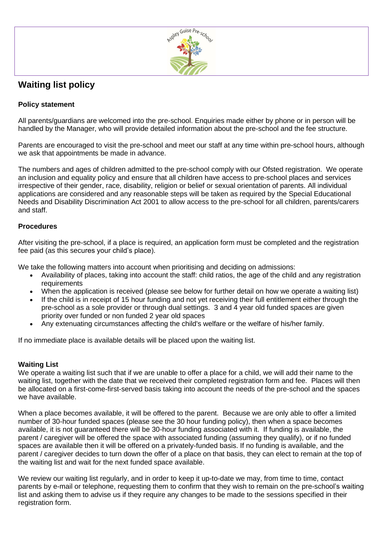

## **Waiting list policy**

## **Policy statement**

All parents/guardians are welcomed into the pre-school. Enquiries made either by phone or in person will be handled by the Manager, who will provide detailed information about the pre-school and the fee structure.

Parents are encouraged to visit the pre-school and meet our staff at any time within pre-school hours, although we ask that appointments be made in advance.

The numbers and ages of children admitted to the pre-school comply with our Ofsted registration. We operate an inclusion and equality policy and ensure that all children have access to pre-school places and services irrespective of their gender, race, disability, religion or belief or sexual orientation of parents. All individual applications are considered and any reasonable steps will be taken as required by the Special Educational Needs and Disability Discrimination Act 2001 to allow access to the pre-school for all children, parents/carers and staff.

## **Procedures**

After visiting the pre-school, if a place is required, an application form must be completed and the registration fee paid (as this secures your child's place).

We take the following matters into account when prioritising and deciding on admissions:

- Availability of places, taking into account the staff: child ratios, the age of the child and any registration requirements
- When the application is received (please see below for further detail on how we operate a waiting list)
- If the child is in receipt of 15 hour funding and not yet receiving their full entitlement either through the pre-school as a sole provider or through dual settings. 3 and 4 year old funded spaces are given priority over funded or non funded 2 year old spaces
- Any extenuating circumstances affecting the child's welfare or the welfare of his/her family.

If no immediate place is available details will be placed upon the waiting list.

## **Waiting List**

We operate a waiting list such that if we are unable to offer a place for a child, we will add their name to the waiting list, together with the date that we received their completed registration form and fee. Places will then be allocated on a first-come-first-served basis taking into account the needs of the pre-school and the spaces we have available.

When a place becomes available, it will be offered to the parent. Because we are only able to offer a limited number of 30-hour funded spaces (please see the 30 hour funding policy), then when a space becomes available, it is not guaranteed there will be 30-hour funding associated with it. If funding is available, the parent / caregiver will be offered the space with associated funding (assuming they qualify), or if no funded spaces are available then it will be offered on a privately-funded basis. If no funding is available, and the parent / caregiver decides to turn down the offer of a place on that basis, they can elect to remain at the top of the waiting list and wait for the next funded space available.

We review our waiting list regularly, and in order to keep it up-to-date we may, from time to time, contact parents by e-mail or telephone, requesting them to confirm that they wish to remain on the pre-school's waiting list and asking them to advise us if they require any changes to be made to the sessions specified in their registration form.